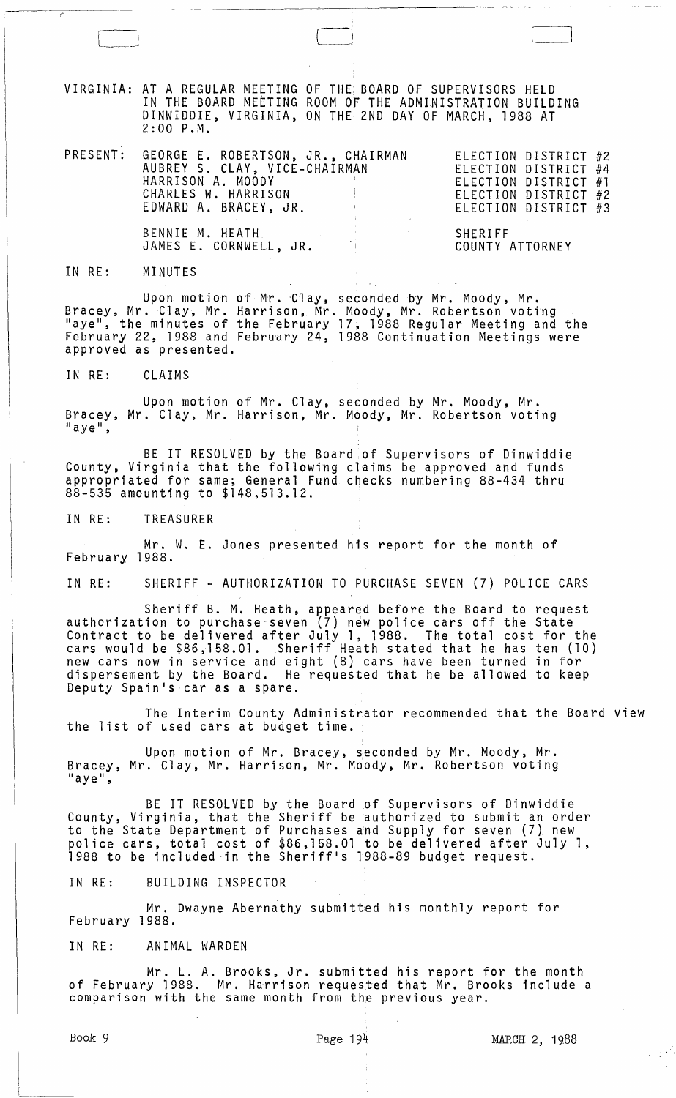VIRGINIA: AT A REGULAR MEETING OF THE BOARD OF SUPERVISORS HELD IN THE BOARD MEETING ROOM OF THE ADMINISTRATION BUILDING DINWIDDIE, VIRGINIA, ON THE 2ND DAY OF MARCH, 1988 AT 2:00 P.M.

|  | PRESENT: GEORGE E. ROBERTSON, JR., CHAIRMAN<br>AUBREY S. CLAY, VICE-CHAIRMAN<br>HARRISON A. MOODY<br>CHARLES W. HARRISON AND RESERVE THE RESERVE TO A RESERVE THE RESERVE THAT AND RESERVE THE RESERVE THAT AND RESERVE THE RESERVE THAT A RESERVE THAT A RESERVE THAT A RESERVE THAT A RESERVE THAT A RESERVE THAT A RESERVE THAT<br>EDWARD A. BRACEY, JR. | ELECTION DISTRICT #2<br>ELECTION DISTRICT #4<br>ELECTION DISTRICT #1<br>ELECTION DISTRICT #2<br>ELECTION DISTRICT #3 |
|--|-------------------------------------------------------------------------------------------------------------------------------------------------------------------------------------------------------------------------------------------------------------------------------------------------------------------------------------------------------------|----------------------------------------------------------------------------------------------------------------------|
|  | BENNIE M. HEATH<br>JAMES E. CORNWELL, JR.                                                                                                                                                                                                                                                                                                                   | SHERIFF<br>COUNTY ATTORNEY                                                                                           |

IN RE: MINUTES

 $\Box$ 

Upon motion of Mr. 'Clay, seconded by Mr. Moody, Mr. Bracey, Mr. Clay, Mr. Harrison, Mr. Moody, Mr. Robertson voting<br>"aye", the minutes of the February 17, 1988 Regular Meeting and the February 22, 1988 and February 24, 1988 Continuation Meetings were approved as presented.

IN RE: CLAIMS

Upon motion of Mr. Clay, seconded by Mr. Moody, Mr. Bracey, Mr. Clay, Mr. Harrison, Mr. Moody, Mr. Robertson voting laye",

BE IT RESOLVED by the Board of Supervisors of Dinwiddie County, Virginia that the following claims be approved and funds appropriated for same; General Fund checks numbering 88-434 thru 88-535 amounting to \$148,513.12.

IN RE: TREASURER

Mr. W. E. Jones presented his report for the month of February 1988.

IN RE: SHERIFF - AUTHORIZATION TO PURCHASE SEVEN (7) POLICE CARS

Sheriff B. M. Heath, appeared before the Board to request authorization to purchase"seven (7) n~w police cars off the State Contract to be delivered after July 1, 1988. The total cost for the cars would be \$86,158.01. Sheriff Heath stated that he has ten (10) new cars now in service and eight (8) cars have been turned in for dispersement by the Board. He requested that he be allowed to keep Deputy Spain's car as a spare.

The Interim County Administrator recommended that the Board view the list of used cars at budget time.

Upon motion of Mr. Bracey, seconded by Mr. Moody, Mr. Bracey, Mr. Clay, Mr. Harrison, Mr. Moody, Mr. Robertson voting<br>"aye",

BE IT RESOLVED by the Board 'of Supervisors of Dinwiddie County, Virginia, that the Sheriff be authorized to submit an order to the State Department of Purchases and Supply for seven (7) new police cars, total cost of \$86,158.01 to be delivered after July 1, 1988 to be included-in the Sheriff's 1988-89 budget request.

IN RE: BUILDING INSPECTOR

Mr. Dwayne Abernathy submitted his monthly report for February 1988.

IN RE: ANIMAL WARDEN

Mr. L. A. Brooks, Jr. submitted his report for the month of February 1988. Mr. Harrison requested that Mr. Brooks include a comparison with the same month from the previous year.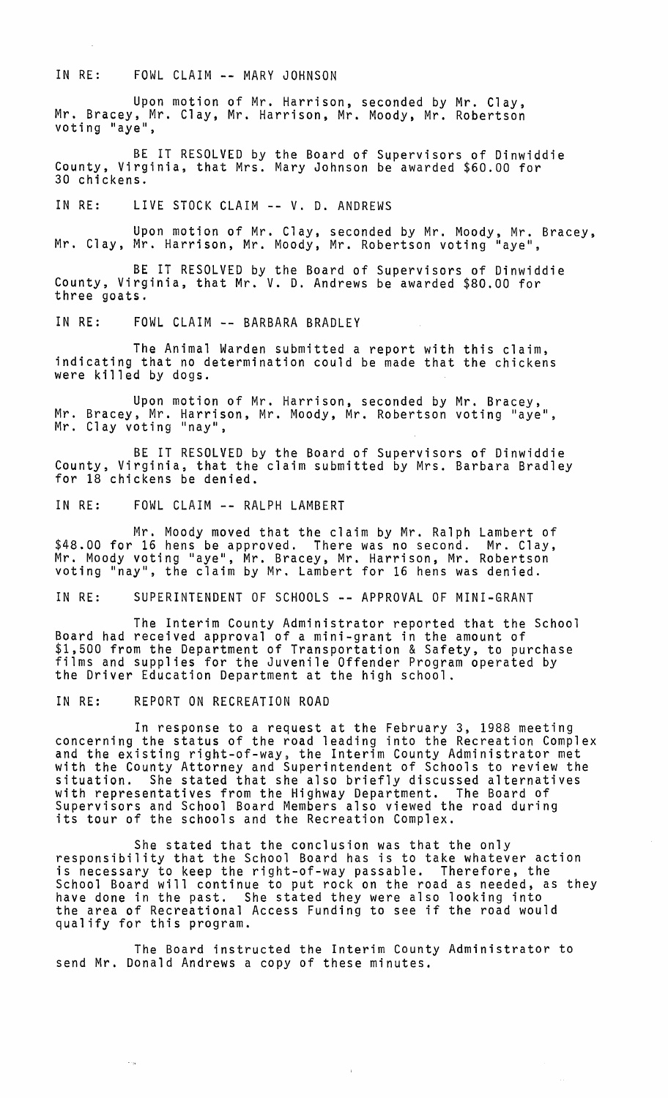## IN RE: FOWL CLAIM -- MARY JOHNSON

Upon motion of Mr. Harrison, seconded by Mr. Clay, Mr. Bracey, Mr. Clay, Mr. Harrison, Mr. Moody, Mr. Robertson voting "aye",

BE IT RESOLVED by the Board of Supervisors of Dinwiddie County, Virginia, that Mrs. Mary Johnson be awarded \$60.00 for 30 chickens.

IN RE: LIVE STOCK CLAIM -- V. D. ANDREWS

Upon motion of Mr. Clay, seconded by Mr. Moody, Mr. Bracey, Mr. Clay, Mr. Harrison, Mr. Moody, Mr. Robertson voting "aye",

BE IT RESOLVED by the Board of Supervisors of Dinwiddie County, Virginia, that Mr. V. D. Andrews be awarded \$80.00 for three goats.

IN RE: FOWL CLAIM -- BARBARA BRADLEY

The Animal Warden submitted a report with this claim, indicating that no determination could be made that the chickens were killed by dogs.

Upon motion of Mr. Harrison, seconded by Mr. Bracey,<br>Mr. Bracey, Mr. Harrison, Mr. Moody, Mr. Robertson voting "aye",<br>Mr. Clay voting "nay",

BE IT RESOLVED by the Board of Supervisors of Dinwiddie County, Virginia, that the claim submitted by Mrs. Barbara Bradley for 18 chickens be denied.

IN RE: FOWL CLAIM -- RALPH LAMBERT

Mr. Moody moved that the claim by Mr. Ralph Lambert of<br>\$48.00 for 16 hens be approved. There was no second. Mr. Clay, \$48.00 for 16 hens be approved. There was no second. Mr. Clay,<br>Mr. Moody voting "aye", Mr. Bracey, Mr. Harrison, Mr. Robertson voting "nay", the claim by Mr. Lambert for 16 hens was denied.

IN RE: SUPERINTENDENT OF SCHOOLS -- APPROVAL OF MINI-GRANT

The Interim County Administrator reported that the School Board had received approval of a mini-grant in the amount of \$1,500 from the Department of Transportation & Safety, to purchase<br>films and supplies for the Juvenile Offender Program operated by<br>the Driver Education Department at the high school.

IN RE: REPORT ON RECREATION ROAD

 $\sim_{\rm m}$ 

In response to a request at the February 3, 1988 meeting concerning the status of the road leading into the Recreation Complex and the existing right-of-way, the Interim County Administrator met with the County Attorney and Superintendent of Schools to review the situation. She stated that she also briefly discussed alternatives with representatives from the Highway Department. The Board of Supervisors and School Board Members also viewed the road during its tour of the schools and the Recreation Complex.

She stated that the conclusion was that the only responsibility that the School Board has is to take whatever action is necessary to keep the right-of-way passable. Therefore, the School Board will continue to put rock on the road as needed, as they<br>have done in the past. She stated they were also looking into the area of Recreational Access Funding to see if the road would qualify for this program.

The Board instructed the Interim County Administrator to send Mr. Donald Andrews a copy of these minutes.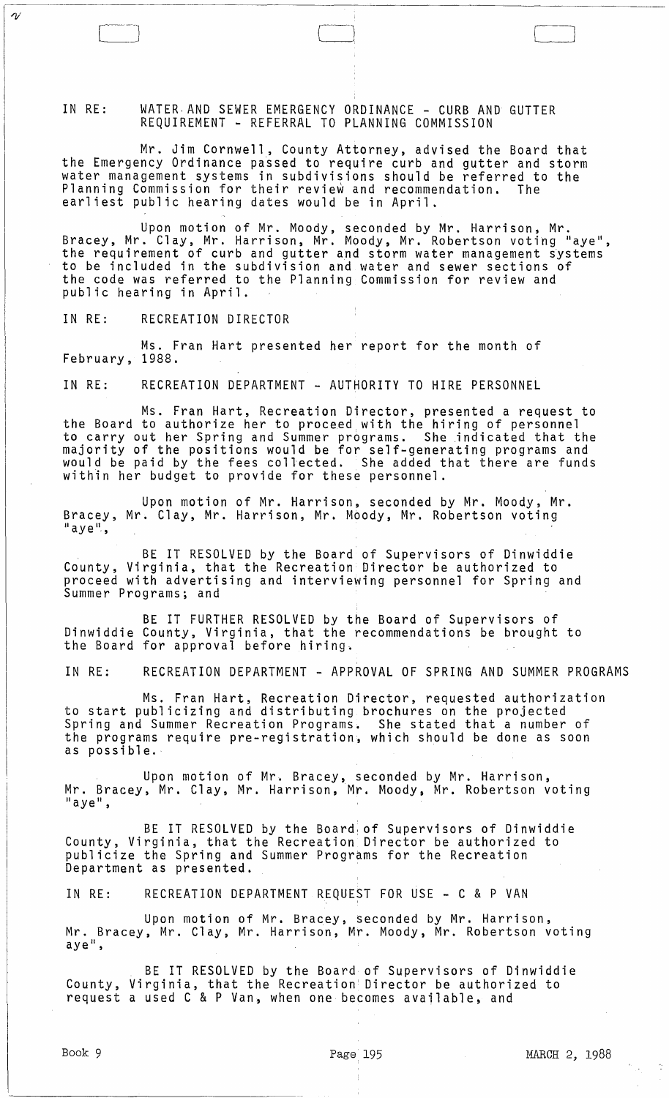IN RE: WATER AND SEWER EMERGENCY ORDINANCE - CURB AND GUTTER REQUIREMENT - REFERRAL TO PLANNING COMMISSION

Mr. Jim Cornwell, County Attorney, advised the Board that the Emergency Ordinance passed to require curb and gutter and storm water management systems in subdivisions should be referred to the Planning Commission for their review and recommendation. The earliest public hearing dates would be in April.

Upon motion of Mr. Moody, seconded by Mr. Harrison, Mr. Bracey, Mr. Clay, Mr. Harrison, Mr. Moody, Mr. Robertson voting "aye", the requirement of curb and gutter and storm water management systems to be included in the subdivision and water and sewer sections of the code was referred to the Planning Commission for review and public hearing in April.

IN RE: RECREATION DIRECTOR

 $\gamma$ 

Ms. Fran Hart presented her report for the month of February, 1988.

IN RE: RECREATION DEPARTMENT - AUTHORITY TO HIRE PERSONNEL

Ms. Fran Hart, Recreation Director, presented a request to the Board to authorize her to proceed with the hiring of personnel to carry out her Spring and Summer programs. She indicated that the majority of the positions would be for self-generating programs and would be paid by the fees collected. She added that there are funds within her budget to provide for these personnel.

Upon motion of Mr. Harrison, seconded by Mr. Moody, Mr. Bracey, Mr. Clay, Mr. Harrison, Mr. Moody, Mr. Robertson voting "aye",

BE IT RESOLVED by the Board of Supervisors of Dinwiddie County, Virginia, that the Recreation Director be authorized to proceed with advertising and interviewing personnel for Spring and Summer Programs; and

BE IT FURTHER RESOLVED by the Board of Supervisors of Dinwiddie County, Virginia, that the recommendations be brought to the Board for approval before hiring.

IN RE: RECREATION DEPARTMENT - APPROVAL OF SPRING AND SUMMER PROGRAMS

Ms. Fran Hart, Recreation Director, requested authorization to start publicizing and distributing brochures on the projected Spring and Summer Recreation Programs. She stated that a number of the programs require pre-registration, which should be done as soon as possible.

Upon motion of Mr. Bracey, seconded by Mr. Harrison, Mr. Bracey, Mr. Clay, Mr. Harrison, Mr. Moody, Mr. Robertson voting<br>"aye",

BE IT RESOLVED by the Board, of Supervisors of Dinwiddie County, Virginia, that the Recreation Director be authorized to publicize the Spring and Summer Programs for the Recreation Department as presented.

IN RE: RECREATION DEPARTMENT REQUEST FOR USE - C & P VAN

Upon motion of Mr. Bracey, seconded by Mr. Harrison, Mr. Bracey, Mr. Clay, Mr. Harrison, Mr. Moody, Mr. Robertson voting  $aye<sup>ii</sup>$ ,

BE IT RESOLVED by the Board of Supervisors of Dinwiddie County, Virginia, that the Recreation! Director be authorized to request a used C & P Van, when one becomes available, and

 $\lfloor$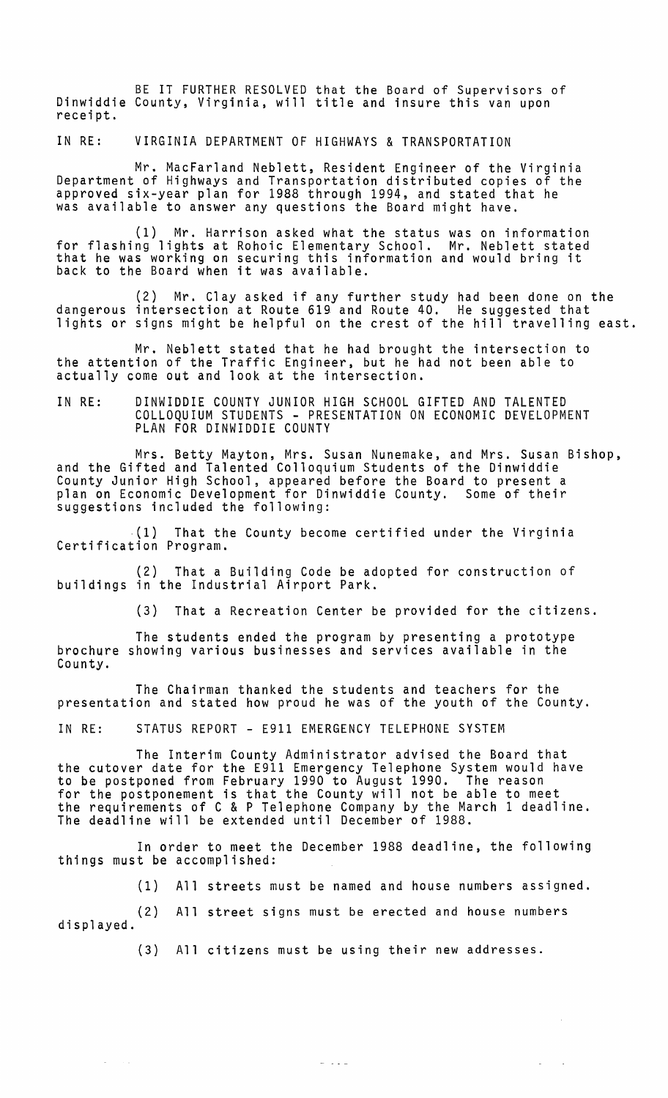BE IT FURTHER RESOLVED that the Board of Supervisors of Dinwiddie County, Virginia, will title and insure this van upon receipt.

IN RE: VIRGINIA DEPARTMENT OF HIGHWAYS & TRANSPORTATION

Mr. MacFarland Neblett, Resident Engineer of the Virginia Department of Highways and Transportation distributed copies of the approved six-year plan for 1988 through 1994, and stated that he was available to answer any questions the Board might have.

(1) Mr. Harrison asked what the status was on information for flashing lights at Rohoic Elementary School. Mr. Neblett stated that he was working on securing this information and would bring it back to the Board when it was available.

(2) Mr. Clay asked if any further study had been done on the dangerous intersection at Route 619 and Route 40. He suggested that lights or signs might be helpful on the crest of the hill travelling east.

Mr. Neblett stated that he had brought the intersection to the attention of the Traffic Engineer, but he had not been able to actually come out and look at the intersection.

IN RE: DINWIDDIE COUNTY JUNIOR HIGH SCHOOL GIFTED AND TALENTED COLLOQUIUM STUDENTS - PRESENTATION ON ECONOMIC DEVELOPMENT PLAN FOR DINWIDDIE COUNTY

Mrs. Betty Mayton, Mrs. Susan Nunemake, and Mrs. Susan Bishop, and the Gifted and Talented Colloquium Students of the Dinwiddie County Junior High School, appeared before the Board to present a plan on Economic Development for Dinwiddie County. Some of their suggestions included the following:

 $(1)$  That the County become certified under the Virginia Certification Program.

(2) That a Building Code be adopted for construction of buildings in the Industrial Airport Park.

(3) That a Recreation Center be provided for the citizens.

The students ended the program by presenting a prototype brochure showing various businesses and services available in the County.

The Chairman thanked the students and teachers for the presentation and stated how proud he was of the youth of the County.

IN RE: STATUS REPORT - E911 EMERGENCY TELEPHONE SYSTEM

The Interim County Administrator advised the Board that the cutover date for the E911 Emergency Telephone System would have to be postponed from February 1990 to August 1990. The reason for the postponement is that the County will not be able to meet the requirements of C & P Telephone Company by the March 1 deadline. The deadline will be extended until December of 1988.

In order to meet the December 1988 deadline, the following things must be accomplished:

(1) All streets must be named and house numbers assigned.

(2) All street signs must be erected and house numbers displayed.

 $\Delta\phi$  and  $\Delta\phi$ 

(3) All citizens must be using their new addresses.

 $\omega$  ,  $\omega$  ,  $\omega$ 

 $\mathcal{L}^{\text{max}}$  $\sim$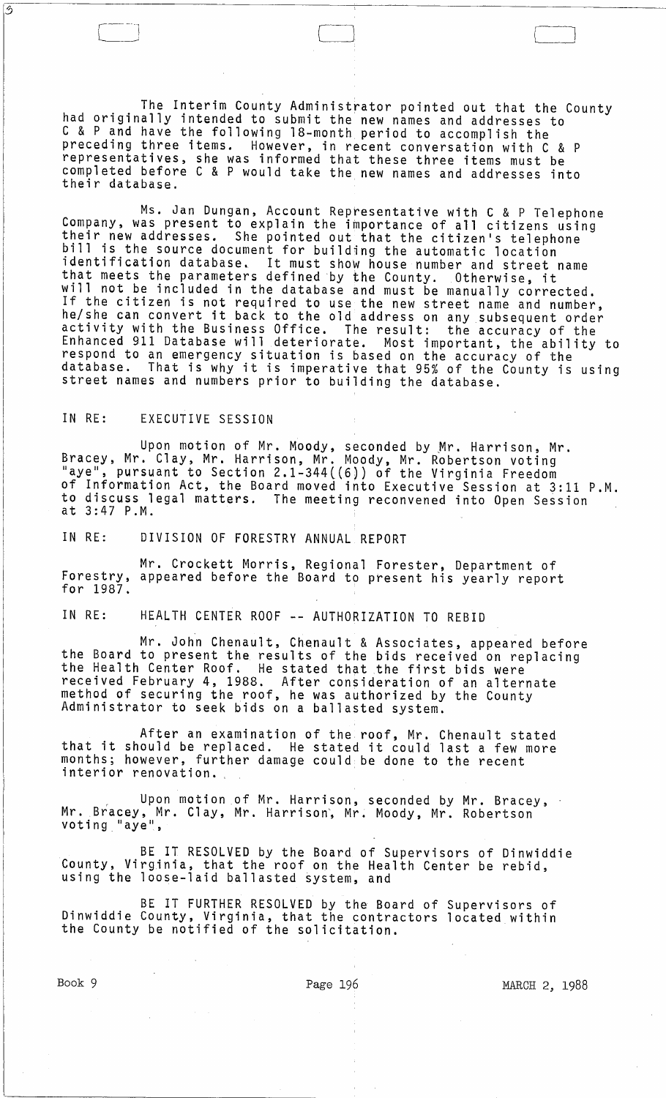The Interim County Administrator pointed out that the County had originally intended to submit the new names and addresses to C & P and have the following l8-month period to accomplish the preceding three items. However, in recent conversation with C & P representatives, she was informed that these three items must be completed before C & P would take the new names and addresses into their database.

Cl l l

Ms. Jan Dungan, Account Representative with C & P Telephone<br>Company, was present to explain the importance of all citizens using<br>their new addresses. She pointed out that the citizen's telephone<br>bill is the source document identification database. It must show house number and street name that meets the parameters defined by the County. Otherwise, it will not be included in the database and must be manually corrected. If the citizen is not required to use the new street name and number, he/she can convert it back to the old address on any subsequent order activity with the Business Office. The result: the accuracy of the Enhanced 911 Database will deteriorate. Most important, the ability to respond to an emergency situation is based on the accuracy of the database. That is why it is imperative that 95% of the County is using street names and numbers prior to building the database.

## IN RE: EXECUTIVE SESSION

 $\overline{\mathcal{D}}$ 

Upon motion of Mr. Moody, seconded by Mr. Harrison, Mr. Bracey, Mr. Clay, Mr. Harrison, Mr. Moody, Mr. Robertson voting "aye", pursuant to Section 2.1-344((6)) of the Virginia Freedom of Information Act, the Board moved into Executive Session at 3:11 P.M. to discuss legal matters. The meeting reconvened into Open Session at 3:47 P.M.

IN RE: DIVISION OF FORESTRY ANNUAL REPORT

Mr. Crockett Morris, Regional Forester, Department of Forestry, appeared before the Board to present his yearly report for 1987.

IN RE: HEALTH CENTER ROOF -- AUTHORIZATION TO REBID

Mr. John Chenault, Chenault & Associates, appeared before the Board to present the results of the bids received on replacing the Health Center Roof. He stated that the first bids were received February 4, 1988. After consideration of an alternate method of securing the roof, he was authorized by the County Administrator to seek bids on a ballasted system.

After an examination of the roof, Mr. Chenault stated that it should be replaced. He stated it could last a few more months; however, further damage could be done to the recent interior renovation.

Upon motion of Mr. Harrison, seconded by Mr. Bracey, Mr. Bracey, Mr. Clay, Mr. Harrison', Mr. Moody, Mr. Robertson voting. "aye",

BE IT RESOLVED by the Board of Supervisors of Dinwiddie County, Virginia, that the roof on the Health Center be rebid, using the loose-laid ballasted system, and

BE IT FURTHER RESOLVED by the Board of Supervisors of Dinwiddie County, Virginia, that the contractors located within the County be notified of the solicitation.

Book 9 **Page 196** Page 196 MARCH 2, 1988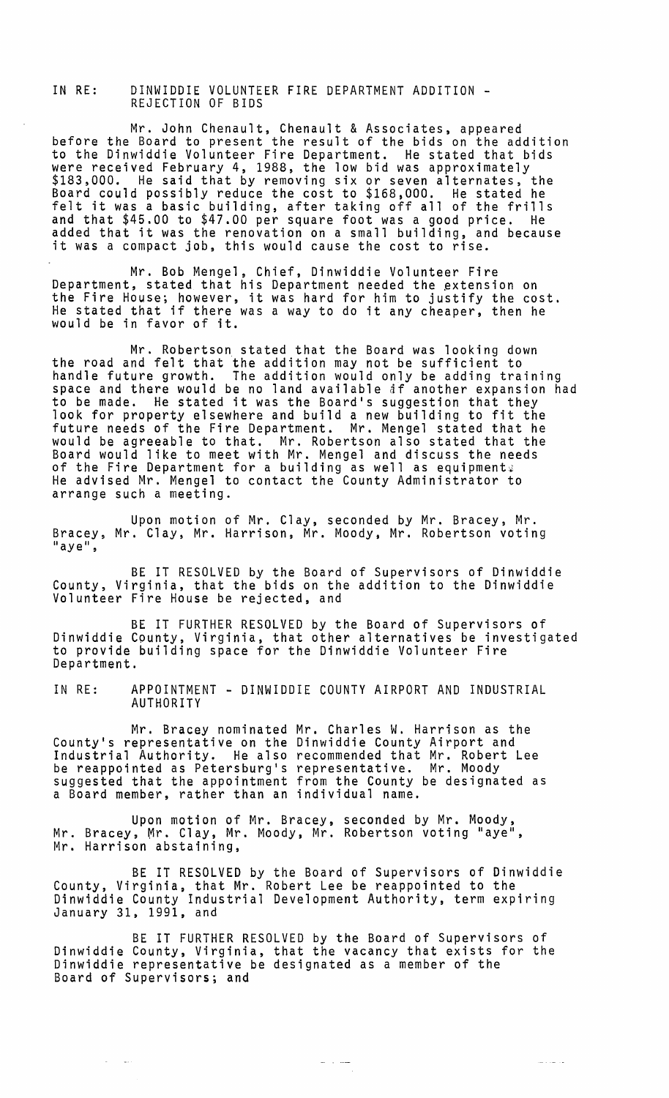## IN RE: DINWIDDIE VOLUNTEER FIRE DEPARTMENT ADDITION -<br>REJECTION OF BIDS

Mr. John Chenault, Chenault & Associates, appeared before the Board to present the result of the bids on the addition to the Dinwiddie Volunteer Fire Department. He stated that bids were received February 4, 1988, the low bid was approximately<br>\$183,000. He said that by removing six or seven alternates, the Board could possibly reduce the cost to \$168,000. He stated he felt it was a basic building, after taking off all of the frills and that \$45.00 to \$47.00 per square foot was a good price. He added that it was the renovation on a small building, and because added that it was the rehovation on a small building, and

Mr. Bob Mengel, Chief, Dinwiddie Volunteer Fire Department, stated that his Department needed the extension on the Fire House; however, it was hard for him to justify the cost. He stated that if there was a way to do it any cheaper, then he would be in favor of it.

Mr. Robertson stated that the Board was looking down the road and felt that the addition may not be sufficient to handle future growth. The addition would only be adding training space and there would be no land available af another expansion had space and there would be no land available at another expansion<br>to be made. He stated it was the Board's suggestion that they<br>look for property elsewhere and build a new building to fit the look for property elsewhere and build a new building to fit the<br>future needs of the Fire Department. Mr. Mengel stated that he would be agreeable to that. Mr. Robertson also stated that the Board would like to meet with Mr. Mengel and discuss the needs of the Fire Department for a building as well as equipments He advised Mr. Mengel to contact the County Administrator to arrange such a meeting.

Upon motion of Mr. Clay, seconded by Mr. Bracey, Mr. Bracey, Mr. Clay, Mr. Harrison, Mr. Moody, Mr. Robertson voting<br>"aye",

BE IT RESOLVED by the Board of Supervisors of Dinwiddie County, Virginia, that the bids on the addition to the Dinwiddie Volunteer Fire House be rejected, and

BE IT FURTHER RESOLVED by the Board of Supervisors of Dinwiddie County, Virginia, that other alternatives be investigated to provide building space for the Dinwiddie Volunteer Fire Department.

IN RE: APPOINTMENT - DINWIDDIE COUNTY AIRPORT AND INDUSTRIAL AUTHORITY

Mr. Bracey nominated Mr. Charles W. Harrison as the County's representative on the Dinwiddie County Airport and Industrial Authority. He also recommended that Mr. Robert Lee be reappointed as Petersburg's representative. Mr. Moody suggested that the appointment from the County be designated as a Board member, rather than an individual name.

Upon motion of Mr. Bracey, seconded by Mr. Moody, Mr. Bracey, Mr. Clay, Mr. Moody, Mr. Robertson voting "aye", Mr. Harrison abstaining,

BE IT RESOLVED by the Board of Supervisors of Dinwiddie County, Virginia, that Mr. Robert Lee be reappointed to the Dinwiddie County Industrial Development Authority, term expiring<br>January 31, 1991, and

BE IT FURTHER RESOLVED by the Board of Supervisors of Dinwiddie County, Virginia, that the vacancy that exists for the Dinwiddie representative be designated as a member of the Board of Supervisors; and

 $\omega = 1$  , and

للأراسب وسأ

 $\omega_{\rm{max}}$  and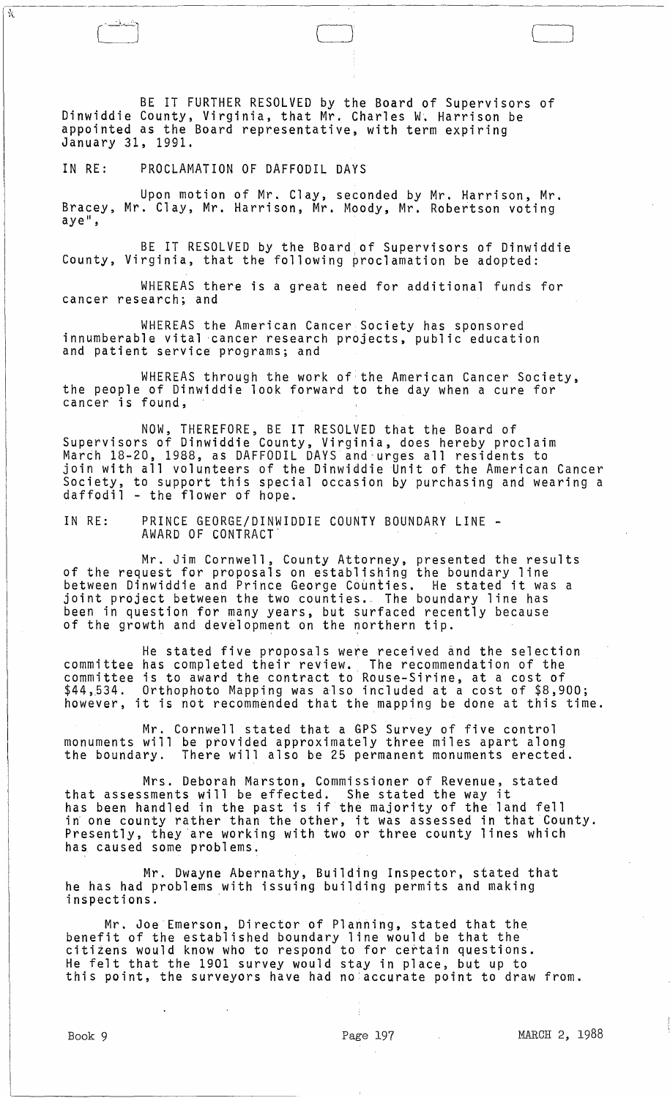BE IT FURTHER RESOLVED by the Board of Supervisors of Dinwiddie County, Virginia, that Mr. Charles W~ Harrison be appointed as the Board representative, with term expiring January 31, 1991.

 $\begin{pmatrix} 1 & 0 & 0 \end{pmatrix}$ 

IN RE: PROCLAMATION OF DAFFODIL DAYS

K

Upon motion of Mr. Clay, seconded by Mr. Harrison, Mr. Bracey, Mr. Clay, Mr. Harrison, Mr. Moody, Mr. Robertson voting ave",

BE IT RESOLVED by the Board of Supervisors of Dinwiddie County, Virginia, that the following proclamation be adopted:

WHEREAS there is a great need for additional funds for cancer research; and

WHEREAS the American Cancer Society has sponsored innumberable vital cancer research projects, public education and patient service programs; and

WHEREAS through the work of the American Cancer Society, the people of Dinwiddie look forward to the day when a cure for cancer is found,

NOW, THEREFORE, BE IT RESOLVED that the Board of Supervisors of Dinwiddie County, Virginia, does hereby proclaim Marth 18-20, 1988, as DAFFODIL DAYS and-urges all residents to join with all volunteers of the Dinwiddie Unit of the American Cancer Society, to support this special occasion by purchasing and wearing a daffodil - the flower of hope.

IN RE: PRINCE GEORGE/DINWIDDIE COUNTY BOUNDARY LINE - AWARD OF CONTRACT'

Mr. Jim Cornwell, County Attorney, presented the results of the request for proposals on establishing the boundary line between Dinwiddie and Prince George Counties. He stated it was a joint project between the two counties.- The boundary line has been in question for many years, but surfaced recently because of the growth and development on the northern tip.

He stated five proposals were received and the selection committee has completed their review. The recommendation of the committee is to award the contract to Rouse-Sirine, at a cost of \$44,534. Orthophoto Mapping was also included at a cost of \$8,900; however, it is not recommended that the mapping be done at this time.

Mr. Cornwell stated that a GPS Survey of five control monuments will be provided approximately three miles apart along the boundary. There will also be 25 permanent monuments erected.

Mrs. Deborah Marston, Commissioner of Revenue, stated that assessments will be effected. She stated the way it has been handled in the past is if the majority of the land fell nas been nanuied in the past is it the majority of the rand feri<br>in one county rather than the other, it was assessed in that County. Presently, they are working with two or three county lines which has caused some problems.

Mr. Dwayne Abernathy, Building Inspector, stated that he has had problems with issuing building permits and making inspections.

Mr. Joe Emerson, Director of Planning, stated that the benefit of the established boundary line would be that the citizens would know who to respond to for certain questions. He felt that the 1901 survey would stay in place, but up to this point, the surveyors have had no:accurate point to draw from.